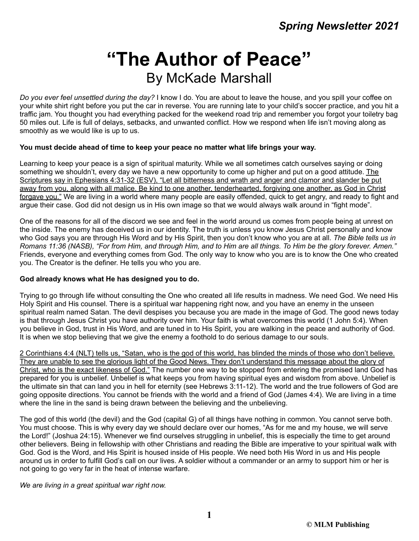# **"The Author of Peace"** By McKade Marshall

*Do you ever feel unsettled during the day?* I know I do. You are about to leave the house, and you spill your coffee on your white shirt right before you put the car in reverse. You are running late to your child's soccer practice, and you hit a traffic jam. You thought you had everything packed for the weekend road trip and remember you forgot your toiletry bag 50 miles out. Life is full of delays, setbacks, and unwanted conflict. How we respond when life isn't moving along as smoothly as we would like is up to us.

# **You must decide ahead of time to keep your peace no matter what life brings your way.**

Learning to keep your peace is a sign of spiritual maturity. While we all sometimes catch ourselves saying or doing something we shouldn't, every day we have a new opportunity to come up higher and put on a good attitude. The Scriptures say in Ephesians 4:31-32 (ESV), "Let all bitterness and wrath and anger and clamor and slander be put away from you, along with all malice. Be kind to one another, tenderhearted, forgiving one another, as God in Christ forgave you." We are living in a world where many people are easily offended, quick to get angry, and ready to fight and argue their case. God did not design us in His own image so that we would always walk around in "fight mode".

One of the reasons for all of the discord we see and feel in the world around us comes from people being at unrest on the inside. The enemy has deceived us in our identity. The truth is unless you know Jesus Christ personally and know who God says you are through His Word and by His Spirit, then you don't know who you are at all. *The Bible tells us in Romans 11:36 (NASB), "For from Him, and through Him, and to Him are all things. To Him be the glory forever. Amen."* Friends, everyone and everything comes from God. The only way to know who you are is to know the One who created you. The Creator is the definer. He tells you who you are.

# **God already knows what He has designed you to do.**

Trying to go through life without consulting the One who created all life results in madness. We need God. We need His Holy Spirit and His counsel. There is a spiritual war happening right now, and you have an enemy in the unseen spiritual realm named Satan. The devil despises you because you are made in the image of God. The good news today is that through Jesus Christ you have authority over him. Your faith is what overcomes this world (1 John 5:4). When you believe in God, trust in His Word, and are tuned in to His Spirit, you are walking in the peace and authority of God. It is when we stop believing that we give the enemy a foothold to do serious damage to our souls.

2 Corinthians 4:4 (NLT) tells us, "Satan, who is the god of this world, has blinded the minds of those who don't believe. They are unable to see the glorious light of the Good News. They don't understand this message about the glory of Christ, who is the exact likeness of God." The number one way to be stopped from entering the promised land God has prepared for you is unbelief. Unbelief is what keeps you from having spiritual eyes and wisdom from above. Unbelief is the ultimate sin that can land you in hell for eternity (see Hebrews 3:11-12). The world and the true followers of God are going opposite directions. You cannot be friends with the world and a friend of God (James 4:4). We are living in a time where the line in the sand is being drawn between the believing and the unbelieving.

The god of this world (the devil) and the God (capital G) of all things have nothing in common. You cannot serve both. You must choose. This is why every day we should declare over our homes, "As for me and my house, we will serve the Lord!" (Joshua 24:15). Whenever we find ourselves struggling in unbelief, this is especially the time to get around other believers. Being in fellowship with other Christians and reading the Bible are imperative to your spiritual walk with God. God is the Word, and His Spirit is housed inside of His people. We need both His Word in us and His people around us in order to fulfill God's call on our lives. A soldier without a commander or an army to support him or her is not going to go very far in the heat of intense warfare.

*We are living in a great spiritual war right now.*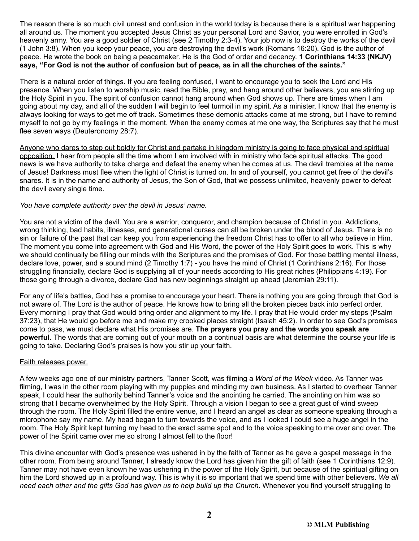The reason there is so much civil unrest and confusion in the world today is because there is a spiritual war happening all around us. The moment you accepted Jesus Christ as your personal Lord and Savior, you were enrolled in God's heavenly army. You are a good soldier of Christ (see 2 Timothy 2:3-4). Your job now is to destroy the works of the devil (1 John 3:8). When you keep your peace, you are destroying the devil's work (Romans 16:20). God is the author of peace. He wrote the book on being a peacemaker. He is the God of order and decency. **1 Corinthians 14:33 (NKJV) says, "For God is not the author of confusion but of peace, as in all the churches of the saints."**

There is a natural order of things. If you are feeling confused, I want to encourage you to seek the Lord and His presence. When you listen to worship music, read the Bible, pray, and hang around other believers, you are stirring up the Holy Spirit in you. The spirit of confusion cannot hang around when God shows up. There are times when I am going about my day, and all of the sudden I will begin to feel turmoil in my spirit. As a minister, I know that the enemy is always looking for ways to get me off track. Sometimes these demonic attacks come at me strong, but I have to remind myself to not go by my feelings in the moment. When the enemy comes at me one way, the Scriptures say that he must flee seven ways (Deuteronomy 28:7).

Anyone who dares to step out boldly for Christ and partake in kingdom ministry is going to face physical and spiritual opposition. I hear from people all the time whom I am involved with in ministry who face spiritual attacks. The good news is we have authority to take charge and defeat the enemy when he comes at us. The devil trembles at the name of Jesus! Darkness must flee when the light of Christ is turned on. In and of yourself, you cannot get free of the devil's snares. It is in the name and authority of Jesus, the Son of God, that we possess unlimited, heavenly power to defeat the devil every single time.

# *You have complete authority over the devil in Jesus' name.*

You are not a victim of the devil. You are a warrior, conqueror, and champion because of Christ in you. Addictions, wrong thinking, bad habits, illnesses, and generational curses can all be broken under the blood of Jesus. There is no sin or failure of the past that can keep you from experiencing the freedom Christ has to offer to all who believe in Him. The moment you come into agreement with God and His Word, the power of the Holy Spirit goes to work. This is why we should continually be filling our minds with the Scriptures and the promises of God. For those battling mental illness, declare love, power, and a sound mind (2 Timothy 1:7) - you have the mind of Christ (1 Corinthians 2:16). For those struggling financially, declare God is supplying all of your needs according to His great riches (Philippians 4:19). For those going through a divorce, declare God has new beginnings straight up ahead (Jeremiah 29:11).

For any of life's battles, God has a promise to encourage your heart. There is nothing you are going through that God is not aware of. The Lord is the author of peace. He knows how to bring all the broken pieces back into perfect order. Every morning I pray that God would bring order and alignment to my life. I pray that He would order my steps (Psalm 37:23), that He would go before me and make my crooked places straight (Isaiah 45:2). In order to see God's promises come to pass, we must declare what His promises are. **The prayers you pray and the words you speak are powerful.** The words that are coming out of your mouth on a continual basis are what determine the course your life is going to take. Declaring God's praises is how you stir up your faith.

#### Faith releases power.

A few weeks ago one of our ministry partners, Tanner Scott, was filming a *Word of the Week* video. As Tanner was filming, I was in the other room playing with my puppies and minding my own business. As I started to overhear Tanner speak, I could hear the authority behind Tanner's voice and the anointing he carried. The anointing on him was so strong that I became overwhelmed by the Holy Spirit. Through a vision I began to see a great gust of wind sweep through the room. The Holy Spirit filled the entire venue, and I heard an angel as clear as someone speaking through a microphone say my name. My head began to turn towards the voice, and as I looked I could see a huge angel in the room. The Holy Spirit kept turning my head to the exact same spot and to the voice speaking to me over and over. The power of the Spirit came over me so strong I almost fell to the floor!

This divine encounter with God's presence was ushered in by the faith of Tanner as he gave a gospel message in the other room. From being around Tanner, I already know the Lord has given him the gift of faith (see 1 Corinthians 12:9). Tanner may not have even known he was ushering in the power of the Holy Spirit, but because of the spiritual gifting on him the Lord showed up in a profound way. This is why it is so important that we spend time with other believers. *We all need each other and the gifts God has given us to help build up the Church.* Whenever you find yourself struggling to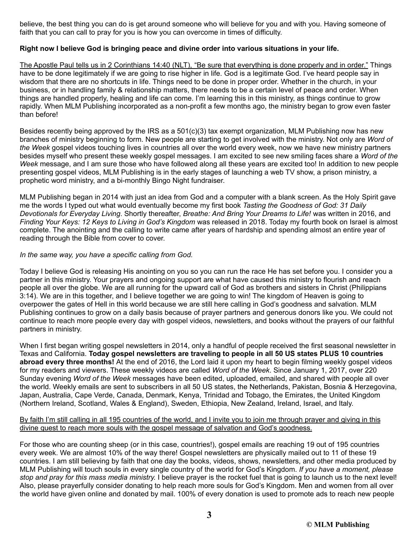believe, the best thing you can do is get around someone who will believe for you and with you. Having someone of faith that you can call to pray for you is how you can overcome in times of difficulty.

# **Right now I believe God is bringing peace and divine order into various situations in your life.**

The Apostle Paul tells us in 2 Corinthians 14:40 (NLT), "Be sure that everything is done properly and in order." Things have to be done legitimately if we are going to rise higher in life. God is a legitimate God. I've heard people say in wisdom that there are no shortcuts in life. Things need to be done in proper order. Whether in the church, in your business, or in handling family & relationship matters, there needs to be a certain level of peace and order. When things are handled properly, healing and life can come. I'm learning this in this ministry, as things continue to grow rapidly. When MLM Publishing incorporated as a non-profit a few months ago, the ministry began to grow even faster than before!

Besides recently being approved by the IRS as a 501(c)(3) tax exempt organization, MLM Publishing now has new branches of ministry beginning to form. New people are starting to get involved with the ministry. Not only are *Word of the Week* gospel videos touching lives in countries all over the world every week, now we have new ministry partners besides myself who present these weekly gospel messages. I am excited to see new smiling faces share a *Word of the Week* message, and I am sure those who have followed along all these years are excited too! In addition to new people presenting gospel videos, MLM Publishing is in the early stages of launching a web TV show, a prison ministry, a prophetic word ministry, and a bi-monthly Bingo Night fundraiser.

MLM Publishing began in 2014 with just an idea from God and a computer with a blank screen. As the Holy Spirit gave me the words I typed out what would eventually become my first book *Tasting the Goodness of God: 31 Daily Devotionals for Everyday Living*. Shortly thereafter, *Breathe: And Bring Your Dreams to Life!* was written in 2016, and *Finding Your Keys: 12 Keys to Living in God's Kingdom* was released in 2018. Today my fourth book on Israel is almost complete. The anointing and the calling to write came after years of hardship and spending almost an entire year of reading through the Bible from cover to cover.

# *In the same way, you have a specific calling from God.*

Today I believe God is releasing His anointing on you so you can run the race He has set before you. I consider you a partner in this ministry. Your prayers and ongoing support are what have caused this ministry to flourish and reach people all over the globe. We are all running for the upward call of God as brothers and sisters in Christ (Philippians 3:14). We are in this together, and I believe together we are going to win! The kingdom of Heaven is going to overpower the gates of Hell in this world because we are still here calling in God's goodness and salvation. MLM Publishing continues to grow on a daily basis because of prayer partners and generous donors like you. We could not continue to reach more people every day with gospel videos, newsletters, and books without the prayers of our faithful partners in ministry.

When I first began writing gospel newsletters in 2014, only a handful of people received the first seasonal newsletter in Texas and California. **Today gospel newsletters are traveling to people in all 50 US states PLUS 10 countries abroad every three months!** At the end of 2016, the Lord laid it upon my heart to begin filming weekly gospel videos for my readers and viewers. These weekly videos are called *Word of the Week*. Since January 1, 2017, over 220 Sunday evening *Word of the Week* messages have been edited, uploaded, emailed, and shared with people all over the world. Weekly emails are sent to subscribers in all 50 US states, the Netherlands, Pakistan, Bosnia & Herzegovina, Japan, Australia, Cape Verde, Canada, Denmark, Kenya, Trinidad and Tobago, the Emirates, the United Kingdom (Northern Ireland, Scotland, Wales & England), Sweden, Ethiopia, New Zealand, Ireland, Israel, and Italy.

# By faith I'm still calling in all 195 countries of the world, and I invite you to join me through prayer and giving in this divine quest to reach more souls with the gospel message of salvation and God's goodness.

For those who are counting sheep (or in this case, countries!), gospel emails are reaching 19 out of 195 countries every week. We are almost 10% of the way there! Gospel newsletters are physically mailed out to 11 of these 19 countries. I am still believing by faith that one day the books, videos, shows, newsletters, and other media produced by MLM Publishing will touch souls in every single country of the world for God's Kingdom. *If you have a moment, please stop and pray for this mass media ministry.* I believe prayer is the rocket fuel that is going to launch us to the next level! Also, please prayerfully consider donating to help reach more souls for God's Kingdom. Men and women from all over the world have given online and donated by mail. 100% of every donation is used to promote ads to reach new people